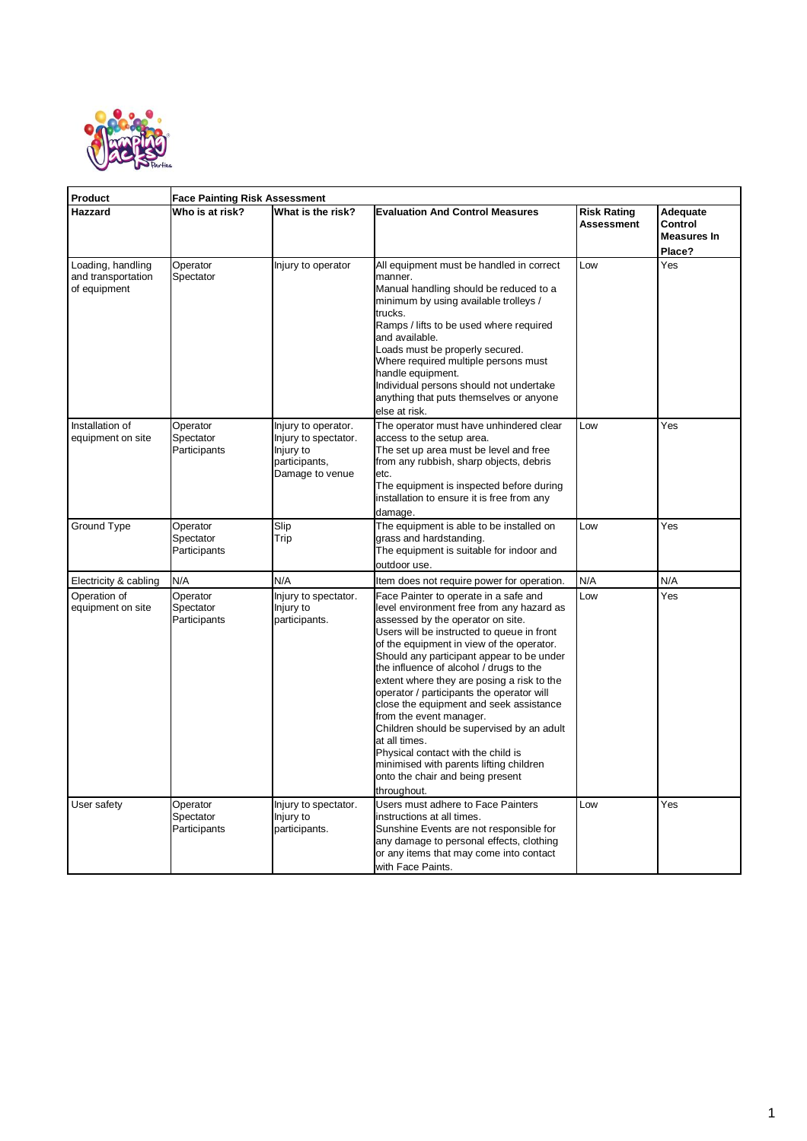

| Product                                                 | <b>Face Painting Risk Assessment</b>  |                                                                                              |                                                                                                                                                                                                                                                                                                                                                                                                                                                                                                                                                                                                                                                                               |                                  |                                              |  |  |
|---------------------------------------------------------|---------------------------------------|----------------------------------------------------------------------------------------------|-------------------------------------------------------------------------------------------------------------------------------------------------------------------------------------------------------------------------------------------------------------------------------------------------------------------------------------------------------------------------------------------------------------------------------------------------------------------------------------------------------------------------------------------------------------------------------------------------------------------------------------------------------------------------------|----------------------------------|----------------------------------------------|--|--|
| Hazzard                                                 | Who is at risk?                       | What is the risk?                                                                            | <b>Evaluation And Control Measures</b>                                                                                                                                                                                                                                                                                                                                                                                                                                                                                                                                                                                                                                        | <b>Risk Rating</b><br>Assessment | Adequate<br>Control<br>Measures In<br>Place? |  |  |
| Loading, handling<br>and transportation<br>of equipment | Operator<br>Spectator                 | Injury to operator                                                                           | All equipment must be handled in correct<br>manner.<br>Manual handling should be reduced to a<br>minimum by using available trolleys /<br>trucks.<br>Ramps / lifts to be used where required<br>and available.<br>Loads must be properly secured.<br>Where required multiple persons must<br>handle equipment.<br>Individual persons should not undertake<br>anything that puts themselves or anyone<br>else at risk.                                                                                                                                                                                                                                                         | Low                              | Yes                                          |  |  |
| Installation of<br>equipment on site                    | Operator<br>Spectator<br>Participants | Injury to operator.<br>Injury to spectator.<br>Injury to<br>participants,<br>Damage to venue | The operator must have unhindered clear<br>access to the setup area.<br>The set up area must be level and free<br>from any rubbish, sharp objects, debris<br>etc.<br>The equipment is inspected before during<br>installation to ensure it is free from any<br>damage.                                                                                                                                                                                                                                                                                                                                                                                                        | Low                              | Yes                                          |  |  |
| Ground Type                                             | Operator<br>Spectator<br>Participants | Slip<br>Trip                                                                                 | The equipment is able to be installed on<br>grass and hardstanding.<br>The equipment is suitable for indoor and<br>outdoor use.                                                                                                                                                                                                                                                                                                                                                                                                                                                                                                                                               | Low                              | Yes                                          |  |  |
| Electricity & cabling                                   | N/A                                   | N/A                                                                                          | Item does not require power for operation.                                                                                                                                                                                                                                                                                                                                                                                                                                                                                                                                                                                                                                    | N/A                              | N/A                                          |  |  |
| Operation of<br>equipment on site                       | Operator<br>Spectator<br>Participants | Injury to spectator.<br>Injury to<br>participants.                                           | Face Painter to operate in a safe and<br>level environment free from any hazard as<br>assessed by the operator on site.<br>Users will be instructed to queue in front<br>of the equipment in view of the operator.<br>Should any participant appear to be under<br>the influence of alcohol / drugs to the<br>extent where they are posing a risk to the<br>operator / participants the operator will<br>close the equipment and seek assistance<br>from the event manager.<br>Children should be supervised by an adult<br>at all times.<br>Physical contact with the child is<br>minimised with parents lifting children<br>onto the chair and being present<br>throughout. | Low                              | Yes                                          |  |  |
| User safety                                             | Operator<br>Spectator<br>Participants | Injury to spectator.<br>Injury to<br>participants.                                           | Users must adhere to Face Painters<br>instructions at all times.<br>Sunshine Events are not responsible for<br>any damage to personal effects, clothing<br>or any items that may come into contact<br>with Face Paints.                                                                                                                                                                                                                                                                                                                                                                                                                                                       | Low                              | Yes                                          |  |  |